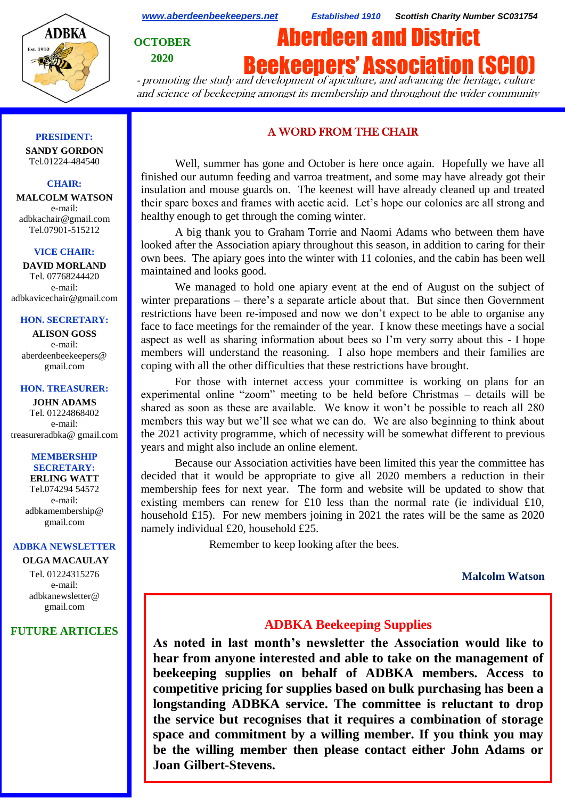

*[www.aberdeenbeekeepers.net](http://www.aberdeenbeekeepers.net/) Established 1910 Scottish Charity Number SC031754*

**OCTOBER 2020**

**Beekeepers' Association (SCI** 

Aberdeen and District

- promoting the study and development of apiculture, and advancing the heritage, culture and science of beekeeping amongst its membership and throughout the wider community

#### **PRESIDENT:**

**SANDY GORDON** Tel.01224-484540

# **CHAIR:**

**MALCOLM WATSON** e-mail: adbkachair@gmail.com Tel.07901-515212

#### **VICE CHAIR:**

**DAVID MORLAND** Tel. 07768244420 e-mail: adbkavicechair@gmail.com

### **HON. SECRETARY:**

**ALISON GOSS**  e-mail: aberdeenbeekeepers@ gmail.com

#### **HON. TREASURER:**

**JOHN ADAMS** Tel. 01224868402 e-mail: [treasureradbka@ gmail.com](https://e.mail.ru/compose/?mailto=mailto%3atreasureradbka@gmail.com)

#### **MEMBERSHIP SECRETARY:**

**ERLING WATT** Tel.074294 54572 e-mail: [adbkamembership@](mailto:watterlingg@aol.com) [gmail.com](mailto:watterlingg@aol.com)

### **ADBKA NEWSLETTER**

**OLGA MACAULAY** Tel. 01224315276 e-mail: adbkanewsletter@ gmail.com

## **FUTURE ARTICLES**

# A WORD FROM THE CHAIR

Well, summer has gone and October is here once again. Hopefully we have all finished our autumn feeding and varroa treatment, and some may have already got their insulation and mouse guards on. The keenest will have already cleaned up and treated their spare boxes and frames with acetic acid. Let's hope our colonies are all strong and healthy enough to get through the coming winter.

A big thank you to Graham Torrie and Naomi Adams who between them have looked after the Association apiary throughout this season, in addition to caring for their own bees. The apiary goes into the winter with 11 colonies, and the cabin has been well maintained and looks good.

We managed to hold one apiary event at the end of August on the subject of winter preparations – there's a separate article about that. But since then Government restrictions have been re-imposed and now we don't expect to be able to organise any face to face meetings for the remainder of the year. I know these meetings have a social aspect as well as sharing information about bees so I'm very sorry about this - I hope members will understand the reasoning. I also hope members and their families are coping with all the other difficulties that these restrictions have brought.

For those with internet access your committee is working on plans for an experimental online "zoom" meeting to be held before Christmas – details will be shared as soon as these are available. We know it won't be possible to reach all 280 members this way but we'll see what we can do. We are also beginning to think about the 2021 activity programme, which of necessity will be somewhat different to previous years and might also include an online element.

Because our Association activities have been limited this year the committee has decided that it would be appropriate to give all 2020 members a reduction in their membership fees for next year. The form and website will be updated to show that existing members can renew for £10 less than the normal rate (ie individual £10, household £15). For new members joining in 2021 the rates will be the same as 2020 namely individual £20, household £25.

Remember to keep looking after the bees.

## **Malcolm Watson**

# **ADBKA Beekeeping Supplies**

**As noted in last month's newsletter the Association would like to hear from anyone interested and able to take on the management of beekeeping supplies on behalf of ADBKA members. Access to competitive pricing for supplies based on bulk purchasing has been a longstanding ADBKA service. The committee is reluctant to drop the service but recognises that it requires a combination of storage space and commitment by a willing member. If you think you may be the willing member then please contact either John Adams or Joan Gilbert-Stevens.**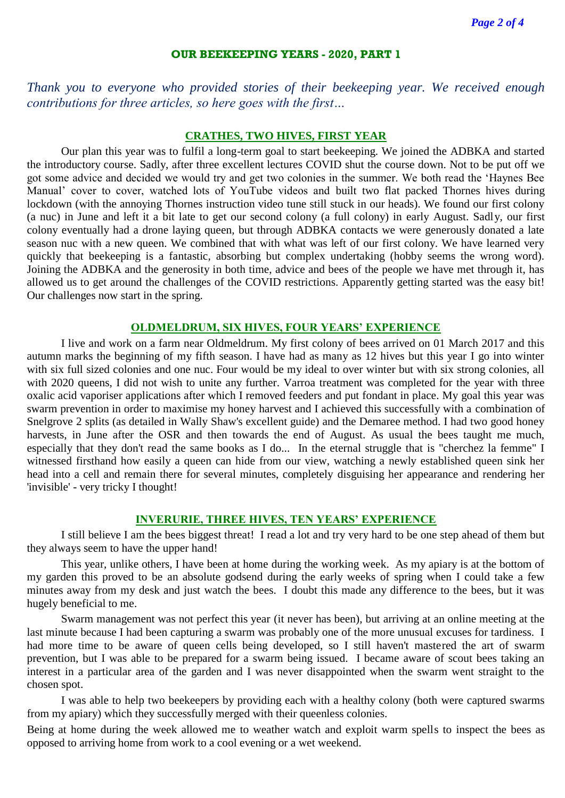#### **OUR BEEKEEPING YEARS - 2020, PART 1**

*Thank you to everyone who provided stories of their beekeeping year. We received enough contributions for three articles, so here goes with the first…*

# **CRATHES, TWO HIVES, FIRST YEAR**

Our plan this year was to fulfil a long-term goal to start beekeeping. We joined the ADBKA and started the introductory course. Sadly, after three excellent lectures COVID shut the course down. Not to be put off we got some advice and decided we would try and get two colonies in the summer. We both read the 'Haynes Bee Manual' cover to cover, watched lots of YouTube videos and built two flat packed Thornes hives during lockdown (with the annoying Thornes instruction video tune still stuck in our heads). We found our first colony (a nuc) in June and left it a bit late to get our second colony (a full colony) in early August. Sadly, our first colony eventually had a drone laying queen, but through ADBKA contacts we were generously donated a late season nuc with a new queen. We combined that with what was left of our first colony. We have learned very quickly that beekeeping is a fantastic, absorbing but complex undertaking (hobby seems the wrong word). Joining the ADBKA and the generosity in both time, advice and bees of the people we have met through it, has allowed us to get around the challenges of the COVID restrictions. Apparently getting started was the easy bit! Our challenges now start in the spring.

# **OLDMELDRUM, SIX HIVES, FOUR YEARS' EXPERIENCE**

I live and work on a farm near Oldmeldrum. My first colony of bees arrived on 01 March 2017 and this autumn marks the beginning of my fifth season. I have had as many as 12 hives but this year I go into winter with six full sized colonies and one nuc. Four would be my ideal to over winter but with six strong colonies, all with 2020 queens, I did not wish to unite any further. Varroa treatment was completed for the year with three oxalic acid vaporiser applications after which I removed feeders and put fondant in place. My goal this year was swarm prevention in order to maximise my honey harvest and I achieved this successfully with a combination of Snelgrove 2 splits (as detailed in Wally Shaw's excellent guide) and the Demaree method. I had two good honey harvests, in June after the OSR and then towards the end of August. As usual the bees taught me much, especially that they don't read the same books as I do... In the eternal struggle that is "cherchez la femme" I witnessed firsthand how easily a queen can hide from our view, watching a newly established queen sink her head into a cell and remain there for several minutes, completely disguising her appearance and rendering her 'invisible' - very tricky I thought!

# **INVERURIE, THREE HIVES, TEN YEARS' EXPERIENCE**

I still believe I am the bees biggest threat! I read a lot and try very hard to be one step ahead of them but they always seem to have the upper hand!

This year, unlike others, I have been at home during the working week. As my apiary is at the bottom of my garden this proved to be an absolute godsend during the early weeks of spring when I could take a few minutes away from my desk and just watch the bees. I doubt this made any difference to the bees, but it was hugely beneficial to me.

Swarm management was not perfect this year (it never has been), but arriving at an online meeting at the last minute because I had been capturing a swarm was probably one of the more unusual excuses for tardiness. I had more time to be aware of queen cells being developed, so I still haven't mastered the art of swarm prevention, but I was able to be prepared for a swarm being issued. I became aware of scout bees taking an interest in a particular area of the garden and I was never disappointed when the swarm went straight to the chosen spot.

I was able to help two beekeepers by providing each with a healthy colony (both were captured swarms from my apiary) which they successfully merged with their queenless colonies.

Being at home during the week allowed me to weather watch and exploit warm spells to inspect the bees as opposed to arriving home from work to a cool evening or a wet weekend.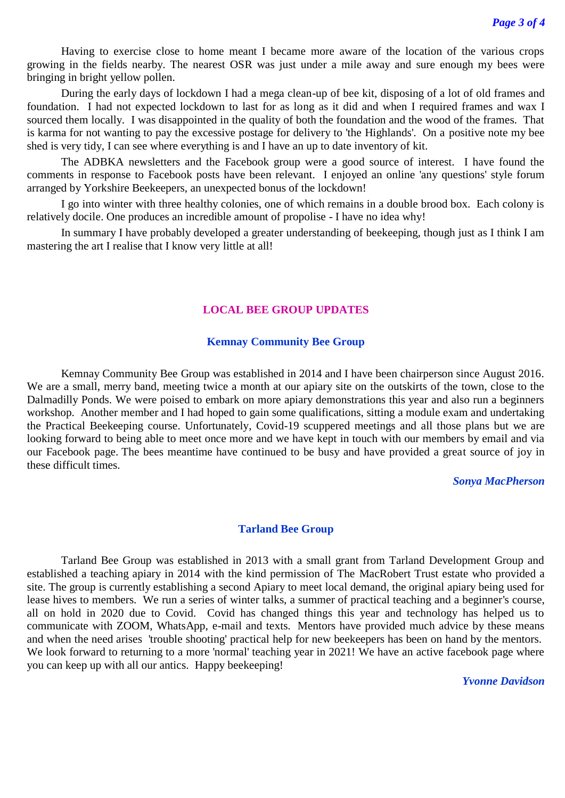Having to exercise close to home meant I became more aware of the location of the various crops growing in the fields nearby. The nearest OSR was just under a mile away and sure enough my bees were bringing in bright yellow pollen.

During the early days of lockdown I had a mega clean-up of bee kit, disposing of a lot of old frames and foundation. I had not expected lockdown to last for as long as it did and when I required frames and wax I sourced them locally. I was disappointed in the quality of both the foundation and the wood of the frames. That is karma for not wanting to pay the excessive postage for delivery to 'the Highlands'. On a positive note my bee shed is very tidy, I can see where everything is and I have an up to date inventory of kit.

The ADBKA newsletters and the Facebook group were a good source of interest. I have found the comments in response to Facebook posts have been relevant. I enjoyed an online 'any questions' style forum arranged by Yorkshire Beekeepers, an unexpected bonus of the lockdown!

I go into winter with three healthy colonies, one of which remains in a double brood box. Each colony is relatively docile. One produces an incredible amount of propolise - I have no idea why!

In summary I have probably developed a greater understanding of beekeeping, though just as I think I am mastering the art I realise that I know very little at all!

# **LOCAL BEE GROUP UPDATES**

## **Kemnay Community Bee Group**

Kemnay Community Bee Group was established in 2014 and I have been chairperson since August 2016. We are a small, merry band, meeting twice a month at our apiary site on the outskirts of the town, close to the Dalmadilly Ponds. We were poised to embark on more apiary demonstrations this year and also run a beginners workshop. Another member and I had hoped to gain some qualifications, sitting a module exam and undertaking the Practical Beekeeping course. Unfortunately, Covid-19 scuppered meetings and all those plans but we are looking forward to being able to meet once more and we have kept in touch with our members by email and via our Facebook page. The bees meantime have continued to be busy and have provided a great source of joy in these difficult times.

# *Sonya MacPherson*

## **Tarland Bee Group**

Tarland Bee Group was established in 2013 with a small grant from Tarland Development Group and established a teaching apiary in 2014 with the kind permission of The MacRobert Trust estate who provided a site. The group is currently establishing a second Apiary to meet local demand, the original apiary being used for lease hives to members. We run a series of winter talks, a summer of practical teaching and a beginner's course, all on hold in 2020 due to Covid. Covid has changed things this year and technology has helped us to communicate with ZOOM, WhatsApp, e-mail and texts. Mentors have provided much advice by these means and when the need arises 'trouble shooting' practical help for new beekeepers has been on hand by the mentors. We look forward to returning to a more 'normal' teaching year in 2021! We have an active facebook page where you can keep up with all our antics. Happy beekeeping!

*Yvonne Davidson*